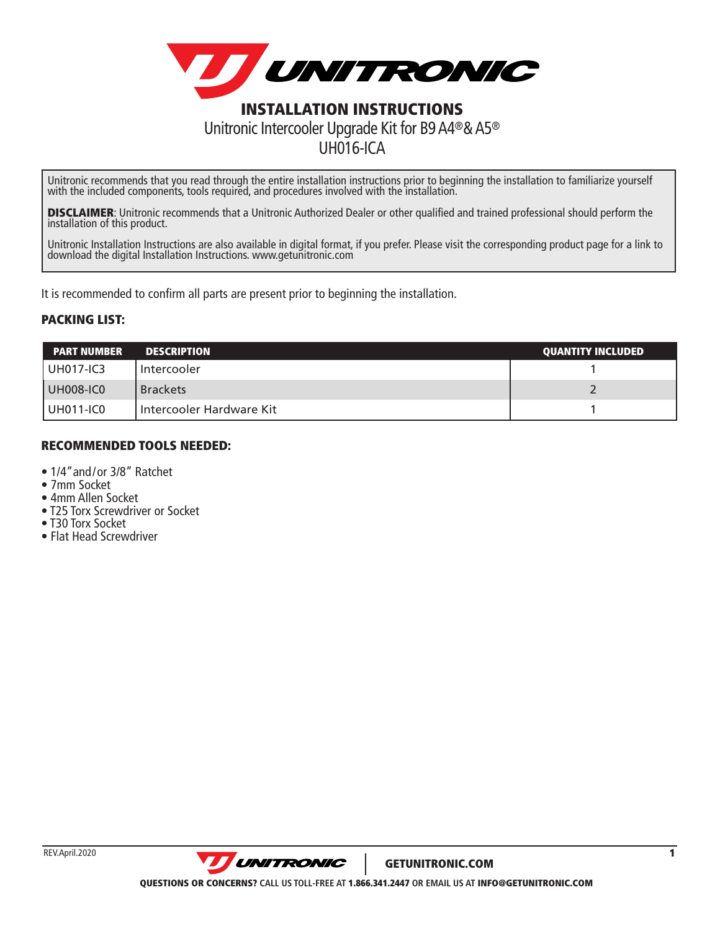

## Unitronic Intercooler Upgrade Kit for B9 A4®& A5® UH016-ICA

Unitronic recommends that you read through the entire installation instructions prior to beginning the installation to familiarize yourself with the included components, tools required, and procedures involved with the installation.

**DISCLAIMER:** Unitronic recommends that a Unitronic Authorized Dealer or other qualified and trained professional should perform the installation of this product.

Unitronic Installation Instructions are also available in digital format, if you prefer. Please visit the corresponding product page for a link to download the digital Installation Instructions. www.getunitronic.com

It is recommended to confirm all parts are present prior to beginning the installation.

## PACKING LIST:

| <b>PART NUMBER</b> | <b>DESCRIPTION</b>         | <b>QUANTITY INCLUDED</b> |
|--------------------|----------------------------|--------------------------|
| l UH017-IC3        | Intercooler                |                          |
| <b>UH008-IC0</b>   | <b>Brackets</b>            |                          |
| UH011-IC0          | I Intercooler Hardware Kit |                          |

## RECOMMENDED TOOLS NEEDED:

- 1/4"and/or 3/8" Ratchet
- 7mm Socket
- 4mm Allen Socket
- T25 Torx Screwdriver or Socket
- T30 Torx Socket
- Flat Head Screwdriver

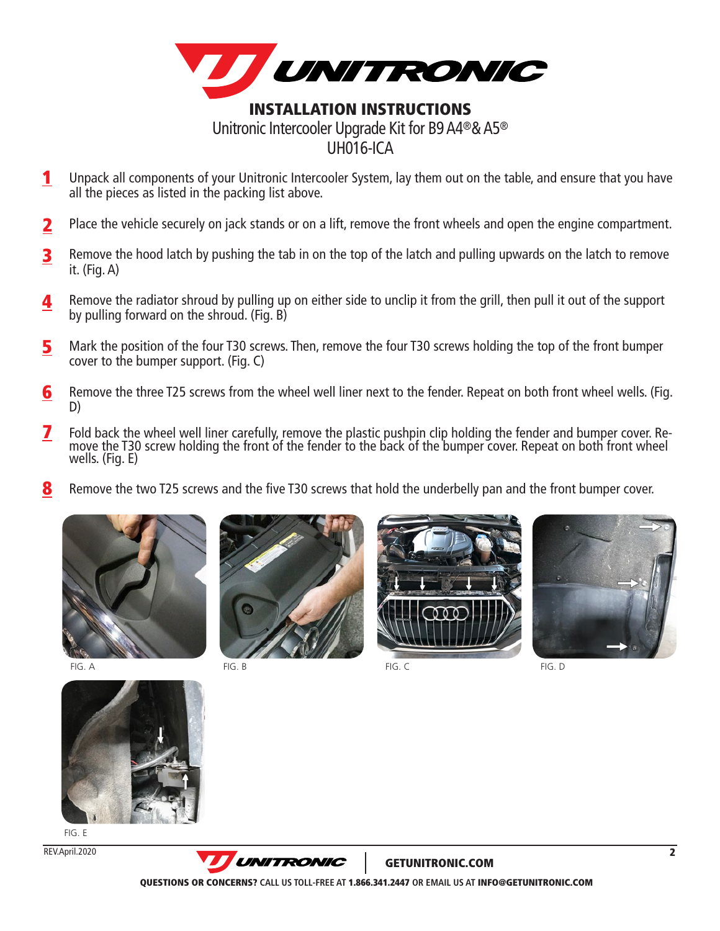

- Unpack all components of your Unitronic Intercooler System, lay them out on the table, and ensure that you have all the pieces as listed in the packing list above. 1
- Place the vehicle securely on jack stands or on a lift, remove the front wheels and open the engine compartment. 2
- Remove the hood latch by pushing the tab in on the top of the latch and pulling upwards on the latch to remove it. (Fig. A) 3
- Remove the radiator shroud by pulling up on either side to unclip it from the grill, then pull it out of the support by pulling forward on the shroud. (Fig. B) 4
- Mark the position of the four T30 screws. Then, remove the four T30 screws holding the top of the front bumper cover to the bumper support. (Fig. C) 5
- Remove the three T25 screws from the wheel well liner next to the fender. Repeat on both front wheel wells. (Fig. D) 6
- Fold back the wheel well liner carefully, remove the plastic pushpin clip holding the fender and bumper cover. Remove the T30 screw holding the front of the fender to the back of the bumper cover. Repeat on both front whee wells. (Fig. E) 7
- Remove the two T25 screws and the five T30 screws that hold the underbelly pan and the front bumper cover. 8





FIG. B FIG. C FIG. A FIG. D FIG. B FIG. D FIG. C FIG. D FIG. D FIG. D FIG. D







FIG. E

REV.April.2020



GETUNITRONIC.COM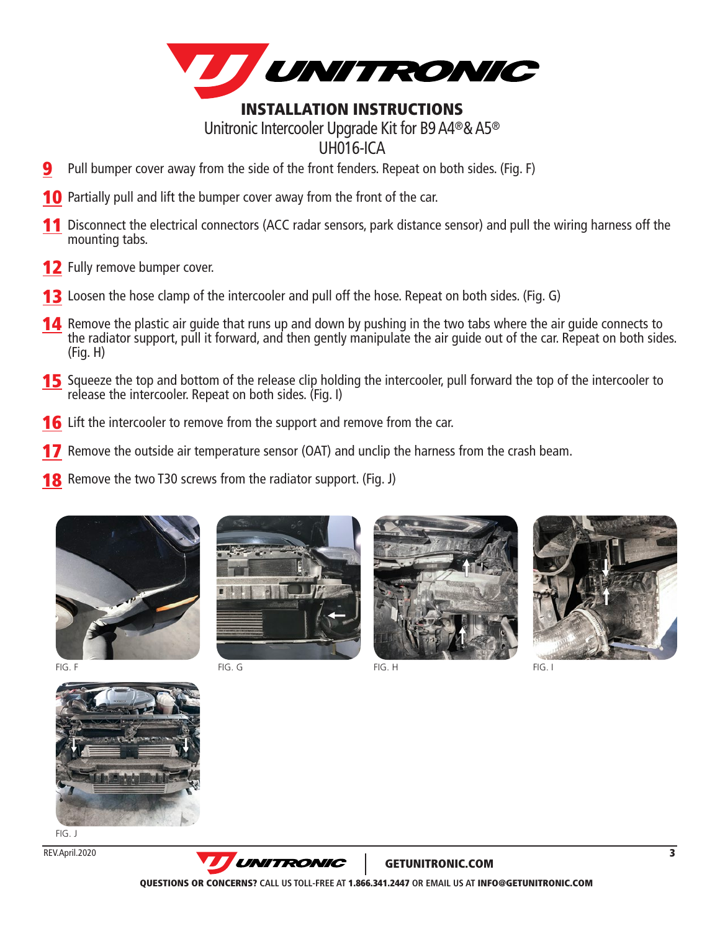

## INSTALLATION INSTRUCTIONS Unitronic Intercooler Upgrade Kit for B9 A4®& A5® UH016-ICA

- Pull bumper cover away from the side of the front fenders. Repeat on both sides. (Fig. F) 9
- **10** Partially pull and lift the bumper cover away from the front of the car.
- 11 Disconnect the electrical connectors (ACC radar sensors, park distance sensor) and pull the wiring harness off the mounting tabs.
- 12 Fully remove bumper cover.
- **13** Loosen the hose clamp of the intercooler and pull off the hose. Repeat on both sides. (Fig. G)
- **14** Remove the plastic air guide that runs up and down by pushing in the two tabs where the air guide connects to the radiator support, pull it forward, and then gently manipulate the air guide out of the car. Repeat on both sides. (Fig. H)
- **15** Squeeze the top and bottom of the release clip holding the intercooler, pull forward the top of the intercooler to release the intercooler. Repeat on both sides. (Fig. I)
- **16** Lift the intercooler to remove from the support and remove from the car.
- **17** Remove the outside air temperature sensor (OAT) and unclip the harness from the crash beam.
- **18** Remove the two T30 screws from the radiator support. (Fig. J)









FIG. J

REV.April.2020



GETUNITRONIC.COM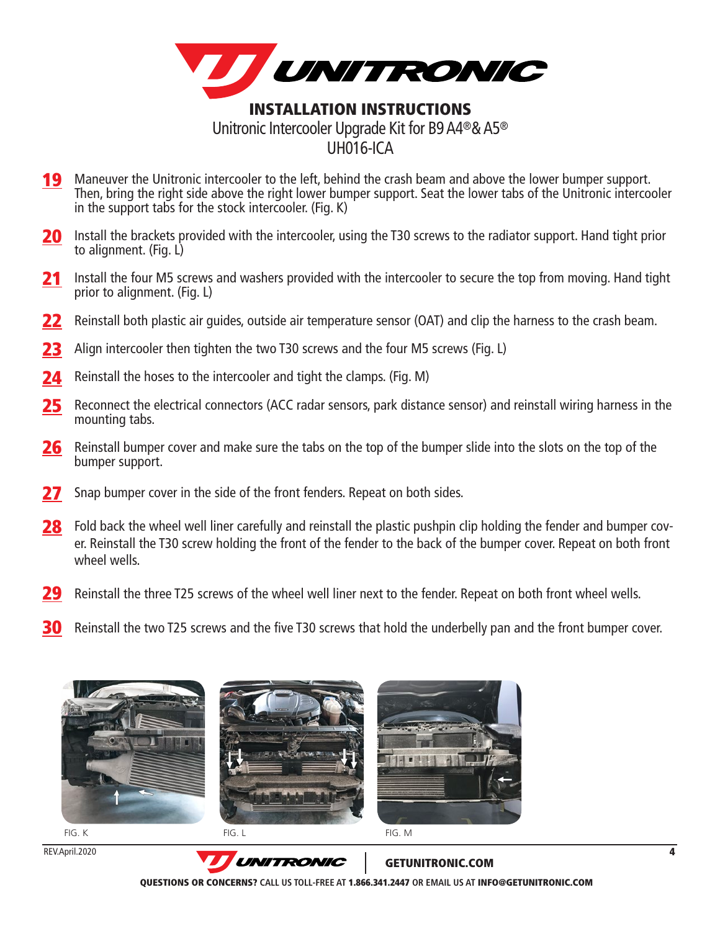

- 19 Maneuver the Unitronic intercooler to the left, behind the crash beam and above the lower bumper support. Then, bring the right side above the right lower bumper support. Seat the lower tabs of the Unitronic intercooler in the support tabs for the stock intercooler. (Fig. K)
- **20** Install the brackets provided with the intercooler, using the T30 screws to the radiator support. Hand tight prior to alignment. (Fig. L)
- 21 Install the four M5 screws and washers provided with the intercooler to secure the top from moving. Hand tight prior to alignment. (Fig. L)
- 22 Reinstall both plastic air guides, outside air temperature sensor (OAT) and clip the harness to the crash beam.
- 23 Align intercooler then tighten the two T30 screws and the four M5 screws (Fig. L)
- 24 Reinstall the hoses to the intercooler and tight the clamps. (Fig. M)
- 25 Reconnect the electrical connectors (ACC radar sensors, park distance sensor) and reinstall wiring harness in the mounting tabs.
- 26 Reinstall bumper cover and make sure the tabs on the top of the bumper slide into the slots on the top of the bumper support.
- 27 Snap bumper cover in the side of the front fenders. Repeat on both sides.
- 28 Fold back the wheel well liner carefully and reinstall the plastic pushpin clip holding the fender and bumper cover. Reinstall the T30 screw holding the front of the fender to the back of the bumper cover. Repeat on both front wheel wells.
- 29 Reinstall the three T25 screws of the wheel well liner next to the fender. Repeat on both front wheel wells.
- 30 Reinstall the two T25 screws and the five T30 screws that hold the underbelly pan and the front bumper cover.